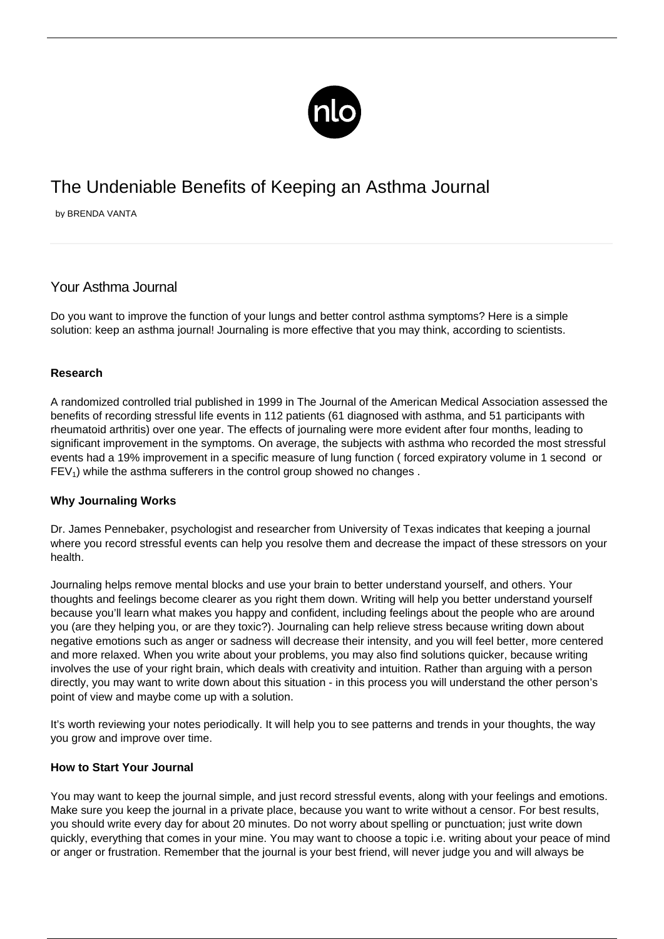

# The Undeniable Benefits of Keeping an Asthma Journal

by BRENDA VANTA

## Your Asthma Journal

Do you want to improve the function of your lungs and better control [asthma symptoms](/symptoms-asthma/)? Here is a simple solution: keep an asthma journal! Journaling is more effective that you may think, according to scientists.

### **Research**

A randomized controlled trial published in 1999 in The Journal of the American Medical Association assessed the benefits of recording stressful life events in 112 patients (61 diagnosed with asthma, and 51 participants with rheumatoid arthritis) over one year. The effects of journaling were more evident after four months, leading to significant improvement in the symptoms. On average, the subjects with asthma who recorded the most stressful events had a 19% improvement in a specific measure of lung function ( forced expiratory volume in 1 second or  $FEV<sub>1</sub>$ ) while the asthma sufferers in the control group showed no changes.

### **Why Journaling Works**

Dr. James Pennebaker, psychologist and researcher from University of Texas indicates that keeping a journal where you record stressful events can help you resolve them and decrease the impact of these stressors on your health.

Journaling helps remove mental blocks and use your brain to better understand yourself, and others. Your thoughts and feelings become clearer as you right them down. Writing will help you better understand yourself because you'll learn what makes you happy and confident, including feelings about the people who are around you (are they helping you, or are they toxic?). Journaling can help relieve stress because writing down about negative emotions such as anger or sadness will decrease their intensity, and you will feel better, more centered and more relaxed. When you write about your problems, you may also find solutions quicker, because writing involves the use of your right brain, which deals with creativity and intuition. Rather than arguing with a person directly, you may want to write down about this situation - in this process you will understand the other person's point of view and maybe come up with a solution.

It's worth reviewing your notes periodically. It will help you to see patterns and trends in your thoughts, the way you grow and improve over time.

### **How to Start Your Journal**

You may want to keep the journal simple, and just record stressful events, along with your feelings and emotions. Make sure you keep the journal in a private place, because you want to write without a censor. For best results, you should write every day for about 20 minutes. Do not worry about spelling or punctuation; just write down quickly, everything that comes in your mine. You may want to choose a topic i.e. writing about your peace of mind or anger or frustration. Remember that the journal is your best friend, will never judge you and will always be